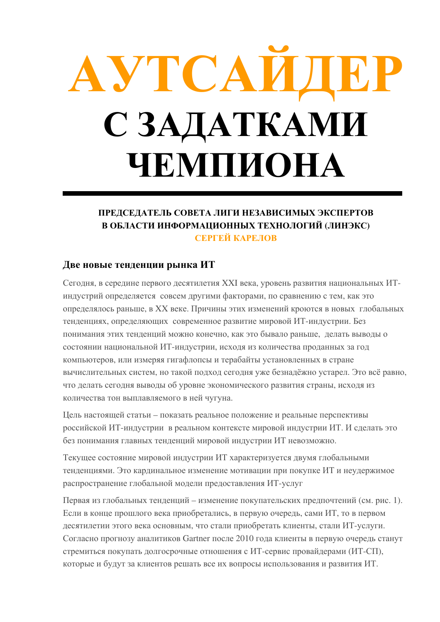# AVTCALL С ЗАДАТКАМИ **ЧЕМПИОНА**

# ПРЕДСЕДАТЕЛЬ СОВЕТА ЛИГИ НЕЗАВИСИМЫХ ЭКСПЕРТОВ В ОБЛАСТИ ИНФОРМАЦИОННЫХ ТЕХНОЛОГИЙ (ЛИНЭКС) СЕРГЕЙ КАРЕЛОВ

# Две новые тенденции рынка ИТ

Сегодня, в середине первого десятилетия XXI века, уровень развития национальных ИТиндустрий определяется совсем другими факторами, по сравнению с тем, как это определялось раньше, в XX веке. Причины этих изменений кроются в новых глобальных тенленциях, определяющих современное развитие мировой ИТ-инлустрии. Без понимания этих тенденций можно конечно, как это бывало раньше, делать выводы о состоянии национальной ИТ-индустрии, исходя из количества проданных за год компьютеров, или измеряя гигафлопсы и терабайты установленных в стране вычислительных систем, но такой подход сегодня уже безнадёжно устарел. Это всё равно, что делать сегодня выводы об уровне экономического развития страны, исходя из количества тон выплавляемого в ней чугуна.

Цель настоящей статьи – показать реальное положение и реальные перспективы российской ИТ-индустрии в реальном контексте мировой индустрии ИТ. И сделать это без понимания главных тенденций мировой индустрии ИТ невозможно.

Текущее состояние мировой индустрии ИТ характеризуется двумя глобальными тенденциями. Это кардинальное изменение мотивации при покупке ИТ и неудержимое распространение глобальной модели предоставления ИТ-услуг

Первая из глобальных тенденций – изменение покупательских предпочтений (см. рис. 1). Если в конце прошлого века приобретались, в первую очередь, сами ИТ, то в первом десятилетии этого века основным, что стали приобретать клиенты, стали ИТ-услуги. Согласно прогнозу аналитиков Gartner после 2010 года клиенты в первую очередь станут стремиться покупать долгосрочные отношения с ИТ-сервис провайдерами (ИТ-СП), которые и булут за клиентов решать все их вопросы использования и развития ИТ.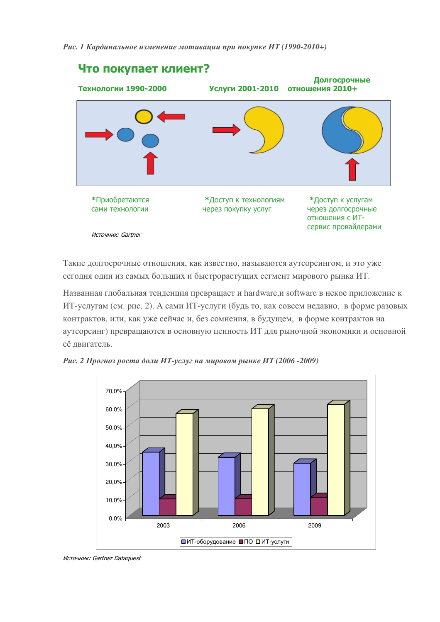Рис. 1 Кардинальное изменение мотивации при покупке ИТ (1990-2010+)



Такие лолгосрочные отношения, как известно, называются аутсорсингом, и это уже сегодня один из самых больших и быстрорастущих сегмент мирового рынка ИТ.

Названная глобальная тенденция превращает и hardware, и software в некое приложение к ИТ-услугам (см. рис. 2). А сами ИТ-услуги (будь то, как совсем недавно, в форме разовых контрактов, или, как уже сейчас и, без сомнения, в будущем, в форме контрактов на аутсорсинг) превращаются в основную ценность ИТ для рыночной экономики и основной её двигатель.



Рис. 2 Прогноз роста доли ИТ-услуг на мировом рынке ИТ (2006 -2009)

Источник: Gartner Dataquest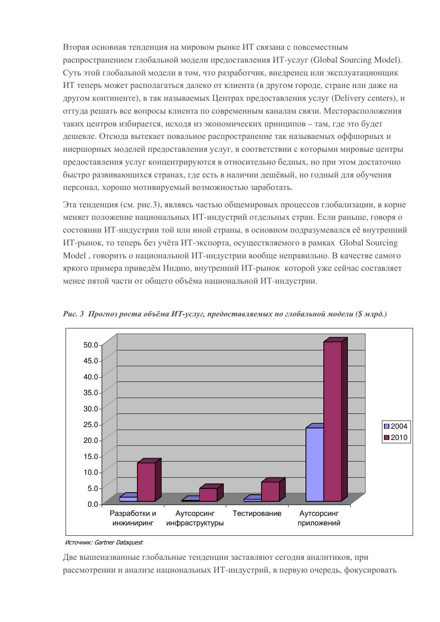Вторая основная тенденция на мировом рынке ИТ связана с повсеместным распространением глобальной модели предоставления ИТ-услуг (Global Sourcing Model). Суть этой глобальной модели в том, что разработчик, внедренец или эксплуатационщик ИТ теперь может располагаться лалеко от клиента (в другом городе, стране или даже на другом континенте), в так называемых Центрах предоставления услуг (Delivery centers), и оттула решать все вопросы клиента по современным каналам связи. Месторасположения таких центров избирается, исходя из экономических принципов - там, где это будет лешевле. Отсюла вытекает повальное распространение так называемых оффшорных и ниершорных моделей предоставления услуг, в соответствии с которыми мировые центры предоставления услуг концентрируются в относительно белных, но при этом достаточно быстро развивающихся странах, где есть в наличии дещёвый, но годный для обучения персонал, хорошо мотивируемый возможностью заработать.

Эта тенденция (см. рис.3), являясь частью общемировых процессов глобализации, в корне меняет положение национальных ИТ-индустрий отдельных стран. Если раньше, говоря о состоянии ИТ-индустрии той или иной страны, в основном подразумевался её внутренний ИТ-рынок, то теперь без учёта ИТ-экспорта, осуществляемого в рамках Global Sourcing Model, говорить о национальной ИТ-индустрии вообще неправильно. В качестве самого яркого примера приведём Индию, внутренний ИТ-рынок которой уже сейчас составляет менее пятой части от общего объёма национальной ИТ-индустрии.



Рис. 3 Прогноз роста объёма ИТ-услуг, предоставляемых по глобальной модели (\$ млрд.)

Две вышеназванные глобальные тенденции заставляют сегодня аналитиков, при рассмотрении и анализе национальных ИТ-индустрий, в первую очередь, фокусировать

Источник: Gartner Dataquest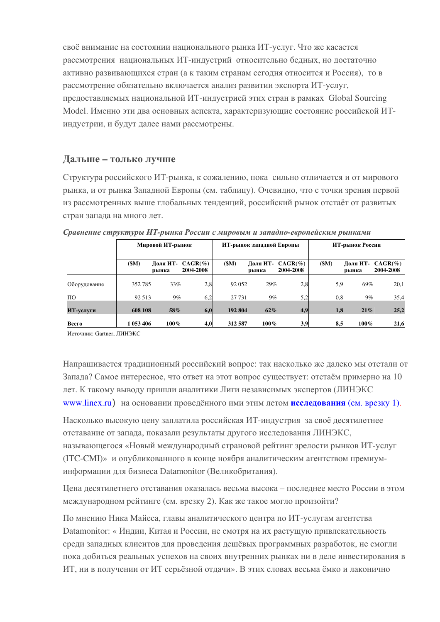своё внимание на состоянии национального рынка ИТ-услуг. Что же касается рассмотрения национальных ИТ-индустрий относительно бедных, но достаточно активно развивающихся стран (а к таким странам сегодня относится и Россия), то в рассмотрение обязательно включается анализ развитии экспорта ИТ-услуг, предоставляемых национальной ИТ-индустрией этих стран в рамках Global Sourcing Model. Именно эти два основных аспекта, характеризующие состояние российской ИТиндустрии, и будут далее нами рассмотрены.

# Дальше - только лучше

Структура российского ИТ-рынка, к сожалению, пока сильно отличается и от мирового рынка, и от рынка Западной Европы (см. таблицу). Очевидно, что с точки зрения первой из рассмотренных выше глобальных тенденций, российский рынок отстаёт от развитых стран запада на много лет.

|              | Мировой ИТ-рынок |                   |                         | ИТ-рынок западной Европы |                   |                         | ИТ-рынок России |                   |                          |
|--------------|------------------|-------------------|-------------------------|--------------------------|-------------------|-------------------------|-----------------|-------------------|--------------------------|
|              | \$M)             | Доля ИТ-<br>рынка | $CAGR(\%)$<br>2004-2008 | (SM)                     | Доля ИТ-<br>рынка | $CAGR(\%)$<br>2004-2008 | (SM)            | Доля ИТ-<br>рынка | $CAGR(\% )$<br>2004-2008 |
| Оборудование | 352 785          | 33%               | 2,8                     | 92 052                   | 29%               | 2.8                     | 5,9             | 69%               | 20,1                     |
| ПО           | 92 513           | $9\%$             | 6,2                     | 27 731                   | $9\%$             | 5,2                     | 0,8             | 9%                | 35,4                     |
| ИТ-услуги    | 608 108          | 58%               | 6,0                     | 192 804                  | 62%               | 4,9                     | 1,8             | 21%               | 25,2                     |
| Всего        | 1 053 406        | $100\%$           | 4,0                     | 312 587                  | 100%              | 3,9                     | 8,5             | $100\%$           | 21,6                     |

Сравнение структуры ИТ-рынка России с мировым и западно-европейским рынками

Источник: Gartner, ЛИНЭКС

Напрашивается традиционный российский вопрос: так насколько же далеко мы отстали от Запада? Самое интересное, что ответ на этот вопрос существует: отстаём примерно на 10 лет. К такому выводу пришли аналитики Лиги независимых экспертов (ЛИНЭКС www.linex.ru) на основании проведённого ими этим летом исследования (см. врезку 1).

Насколько высокую цену заплатила российская ИТ-индустрия за своё десятилетнее отставание от запада, показали результаты другого исследования ЛИНЭКС, называющегося «Новый международный страновой рейтинг зрелости рынков ИТ-услуг (ITC-CMI)» и опубликованного в конце ноября аналитическим агентством премиуминформации для бизнеса Datamonitor (Великобритания).

Цена десятилетнего отставания оказалась весьма высока – последнее место России в этом международном рейтинге (см. врезку 2). Как же такое могло произойти?

По мнению Ника Майеса, главы аналитического центра по ИТ-услугам агентства Datamonitor: « Индии, Китая и России, не смотря на их растущую привлекательность среди западных клиентов для проведения дешёвых программных разработок, не смогли пока добиться реальных успехов на своих внутренних рынках ни в деле инвестирования в ИТ, ни в получении от ИТ серьёзной отдачи». В этих словах весьма ёмко и лаконично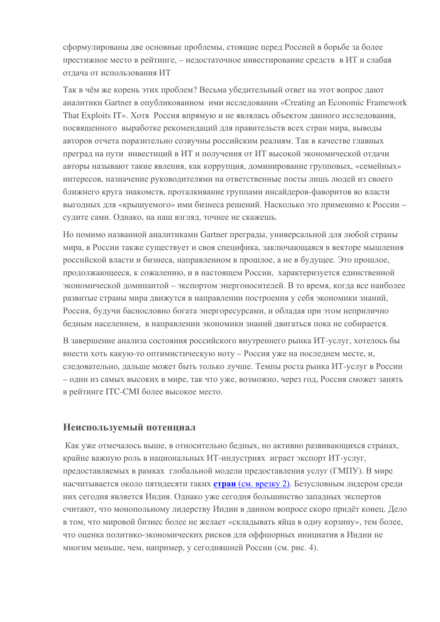сформулированы две основные проблемы, стоящие перед Россией в борьбе за более престижное место в рейтинге, – недостаточное инвестирование средств в ИТ и слабая отлача от использования ИТ

Так в чём же корень этих проблем? Весьма убедительный ответ на этот вопрос дают аналитики Gartner в опубликованном ими исслеловании «Creating an Economic Framework That Exploits IT». Хотя Россия впрямую и не являлась объектом данного исследования, посвященного выработке рекоменлаций для правительств всех стран мира, выводы авторов отчета поразительно созвучны российским реалиям. Так в качестве главных преграл на пути инвестиций в ИТ и получения от ИТ высокой экономической отлачи авторы называют такие явления, как коррупция, доминирование групповых, «семейных» интересов, назначение руководителями на ответственные посты лишь людей из своего ближнего круга знакомств, проталкивание группами инсайдеров-фаворитов во власти выгодных для «крышуемого» ими бизнеса решений. Насколько это применимо к России судите сами. Однако, на наш взгляд, точнее не скажешь.

Но помимо названной аналитиками Gartner преграды, универсальной для любой страны мира, в России также существует и своя специфика, заключающаяся в векторе мышления российской власти и бизнеса, направленном в прошлое, а не в будущее. Это прошлое, продолжающееся, к сожалению, и в настоящем России, характеризуется единственной экономической доминантой - экспортом энергоносителей. В то время, когда все наиболее развитые страны мира движутся в направлении построения у себя экономики знаний, Россия, будучи баснословно богата энергоресурсами, и обладая при этом неприлично бедным населением, в направлении экономики знаний двигаться пока не собирается.

В завершение анализа состояния российского внутреннего рынка ИТ-услуг, хотелось бы внести хоть какую-то оптимистическую ноту - Россия уже на последнем месте, и, следовательно, дальше может быть только лучше. Темпы роста рынка ИТ-услуг в России - одни из самых высоких в мире, так что уже, возможно, через год, Россия сможет занять в рейтинге ITC-CMI более высокое место.

# Неиспользуемый потенциал

Как уже отмечалось выше, в относительно бедных, но активно развивающихся странах, крайне важную роль в национальных ИТ-инлустриях играет экспорт ИТ-услуг. предоставляемых в рамках глобальной модели предоставления услуг (ГМПУ). В мире насчитывается около пятидесяти таких **стран** (см. врезку 2). Безусловным лидером среди них сегодня является Индия. Однако уже сегодня большинство западных экспертов считают, что монопольному лидерству Индии в данном вопросе скоро придёт конец. Дело в том, что мировой бизнес более не желает «склалывать яйца в одну корзину», тем более, что оценка политико-экономических рисков для оффшорных инициатив в Индии не многим меньше, чем, например, у сеголняшней России (см. рис. 4).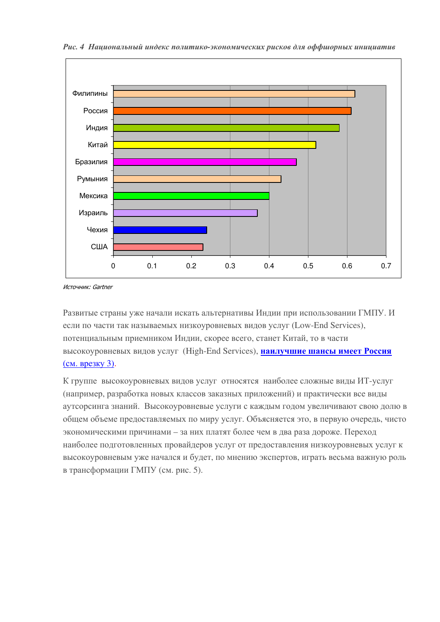

Рис. 4 Национальный индекс политико-экономических рисков для оффиорных инициатив

Источник: Gartner

Развитые страны уже начали искать альтернативы Индии при использовании ГМПУ. И если по части так называемых низкоуровневых видов услуг (Low-End Services), потенциальным приемником Индии, скорее всего, станет Китай, то в части высокоуровневых видов услуг (High-End Services), наилучшие шансы имеет Россия (см. врезку 3).

К группе высокоуровневых видов услуг относятся наиболее сложные виды ИТ-услуг (например, разработка новых классов заказных приложений) и практически все виды аутсорсинга знаний. Высокоуровневые услуги с каждым годом увеличивают свою долю в общем объеме предоставляемых по миру услуг. Объясняется это, в первую очередь, чисто экономическими причинами - за них платят более чем в два раза дороже. Переход наиболее подготовленных провайдеров услуг от предоставления низкоуровневых услуг к высокоуровневым уже начался и будет, по мнению экспертов, играть весьма важную роль в трансформации ГМПУ (см. рис. 5).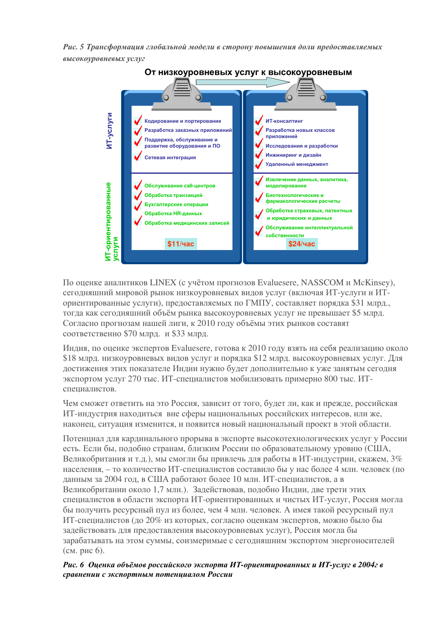Рис. 5 Трансформация глобальной модели в сторону повышения доли предоставляемых высокоуровневых услуг



По оценке аналитиков LINEX (с учётом прогнозов Evaluesere, NASSCOM и McKinsey), сегодняшний мировой рынок низкоуровневых видов услуг (включая ИТ-услуги и ИТориентированные услуги), предоставляемых по ГМПУ, составляет порядка \$31 млрд., тогда как сегодняшний объём рынка высокоуровневых услуг не превышает \$5 млрд. Согласно прогнозам нашей лиги, к 2010 году объёмы этих рынков составят соответственно \$70 млрд. и \$33 млрд.

Индия, по оценке экспертов Evaluesere, готова к 2010 году взять на себя реализацию около \$18 млрд, низкоуровневых видов услуг и порядка \$12 млрд, высокоуровневых услуг. Для лостижения этих показателе Индии нужно будет дополнительно к уже занятым сегодня экспортом услуг 270 тыс. ИТ-специалистов мобилизовать примерно 800 тыс. ИТспециалистов.

Чем сможет ответить на это Россия, зависит от того, будет ли, как и прежде, российская ИТ-индустрия находиться вне сферы национальных российских интересов, или же, наконец, ситуация изменится, и появится новый национальный проект в этой области.

Потенциал для кардинального прорыва в экспорте высокотехнологических услуг у России есть. Если бы, полобно странам, близким России по образовательному уровню (США, Великобритания и т.д.), мы смогли бы привлечь для работы в ИТ-индустрии, скажем, 3% населения, - то количество ИТ-специалистов составило бы у нас более 4 млн. человек (по данным за 2004 год, в США работают более 10 млн. ИТ-специалистов, а в Великобритании около 1,7 млн.). Задействовав, подобно Индии, две трети этих специалистов в области экспорта ИТ-ориентированных и чистых ИТ-услуг, Россия могла бы получить ресурсный пул из более, чем 4 млн. человек. А имея такой ресурсный пул ИТ-специалистов (до 20% из которых, согласно оценкам экспертов, можно было бы задействовать для предоставления высокоуровневых услуг), Россия могла бы зарабатывать на этом суммы, соизмеримые с сегодняшним экспортом энергоносителей (см. рис 6).

# Рис. 6 Оценка объёмов российского экспорта ИТ-ориентированных и ИТ-услуг в 2004г в сравнении с экспортным потеницалом России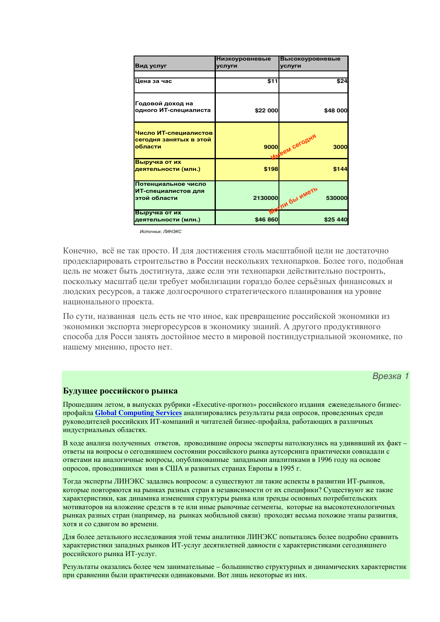| Вид услуг                                                  | Низкоуровневые<br>услуги | <b>Высокоуровневые</b><br>услуги |
|------------------------------------------------------------|--------------------------|----------------------------------|
| Цена за час                                                | \$11                     | \$24                             |
| Годовой доход на<br>одного ИТ-специалиста                  | \$22 000                 | \$48 000                         |
| Число ИТ-специалистов<br>сегодня занятых в этой<br>области | 9000                     | <b>GEM CETOAHA</b><br>3000       |
| Выручка от их<br>деятельности (млн.)                       | \$198                    | \$144                            |
| Потенциальное число<br>ИТ-специалистов для<br>этой области | 2130000                  | MOVIM Obl WMOTD<br>530000        |
| Выручка от их<br>деятельности (млн.)                       | \$46 860                 | \$25 440                         |

*<sup>&</sup>lt;u>Memouuur: ПИНЭКС</u>* 

Конечно, всё не так просто. И для достижения столь масштабной цели не достаточно продекларировать строительство в России нескольких технопарков. Более того, подобная цель не может быть лостигнута, лаже если эти технопарки лействительно построить, поскольку масштаб цели требует мобилизации гораздо более серьёзных финансовых и людских ресурсов, а также долгосрочного стратегического планирования на уровне национального проекта.

По сути, названная цель есть не что иное, как превращение российской экономики из экономики экспорта энергоресурсов в экономику знаний. А другого продуктивного способа для Росси занять достойное место в мировой постиндустриальной экономике, по нашему мнению, просто нет.

## Врезка 1

#### Будущее российского рынка

Прошедшим летом, в выпусках рубрики «Executive-прогноз» российского издания еженедельного бизнеспрофайла Global Computing Services анализировались результаты ряда опросов, проведенных среди руководителей российских ИТ-компаний и читателей бизнес-профайла, работающих в различных индустриальных областях.

В ходе анализа полученных ответов, проводившие опросы эксперты натолкнулись на удививший их факт ответы на вопросы о сегодняшнем состоянии российского рынка аутсорсинга практически совпадали с ответами на аналогичные вопросы, опубликованные западными аналитиками в 1996 году на основе опросов, проводившихся ими в США и развитых странах Европы в 1995 г.

Тогда эксперты ЛИНЭКС задались вопросом: а существуют ли такие аспекты в развитии ИТ-рынков, которые повторяются на рынках разных стран в независимости от их специфики? Существуют же такие характеристики, как динамика изменения структуры рынка или тренды основных потребительских мотиваторов на вложение средств в те или иные рыночные сегменты, которые на высокотехнологичных рынках разных стран (например, на рынках мобильной связи) проходят весьма похожие этапы развития, хотя и со сдвигом во времени.

Для более детального исследования этой темы аналитики ЛИНЭКС попытались более подробно сравнить характеристики западных рынков ИТ-услуг десятилетней давности с характеристиками сегодняшнего российского рынка ИТ-услуг.

Результаты оказались более чем занимательные - большинство структурных и динамических характеристик при сравнении были практически одинаковыми. Вот лишь некоторые из них.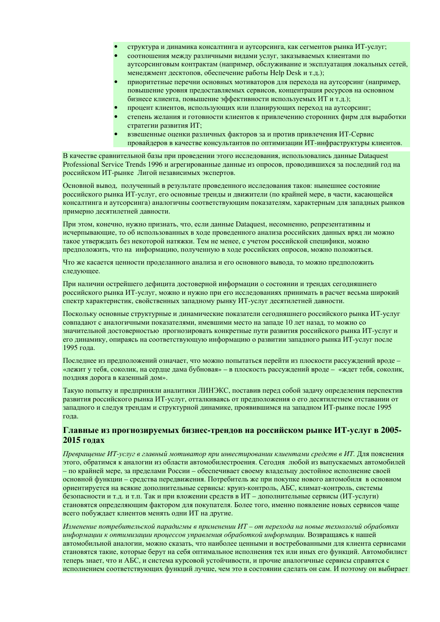- структура и динамика консалтинга и аутсорсинга, как сегментов рынка ИТ-услуг;
- соотношения между различными видами услуг, заказываемых клиентами по аутсорсинговым контрактам (например, обслуживание и эксплуатация локальных сетей, менеджмент десктопов, обеспечение работы Help Desk и т.д.);
- приоритетные перечни основных мотиваторов для перехода на аутсорсинг (например, повышение уровня предоставляемых сервисов, концентрация ресурсов на основном бизнесе клиента, повышение эффективности используемых ИТ и т.д.);
- процент клиентов, использующих или планирующих переход на аутсорсинг;
- степень желания и готовности клиентов к привлечению сторонних фирм для выработки стратегии развития ИТ;
- взвешенные оценки различных факторов за и против привлечения ИТ-Сервис провайдеров в качестве консультантов по оптимизации ИТ-инфраструктуры клиентов.

В качестве сравнительной базы при проведении этого исследования, использовались данные Dataquest Professional Service Trends 1996 и агрегированные данные из опросов, проводившихся за последний год на российском ИТ-рынке Лигой независимых экспертов.

Основной вывод, полученный в результате проведенного исследования таков: нынешнее состояние российского рынка ИТ-услуг, его основные тренды и движители (по крайней мере, в части, касающейся консалтинга и аутсорсинга) аналогичны соответствующим показателям, характерным для западных рынков примерно десятилетней давности.

При этом, конечно, нужно признать, что, если данные Dataquest, несомненно, репрезентативны и исчерпывающие, то об использованных в ходе проведенного анализа российских данных вряд ли можно такое утверждать без некоторой натяжки. Тем не менее, с учетом российской специфики, можно предположить, что на информацию, полученную в ходе российских опросов, можно положиться.

Что же касается ценности проделанного анализа и его основного вывода, то можно предположить следующее.

При наличии острейшего дефицита достоверной информации о состоянии и трендах сегодняшнего российского рынка ИТ-услуг, можно и нужно при его исследованиях принимать в расчет весьма широкий спектр характеристик, свойственных западному рынку ИТ-услуг десятилетней давности.

Поскольку основные структурные и динамические показатели сегодняшнего российского рынка ИТ-услуг совпадают с аналогичными показателями, имевшими место на западе 10 лет назад, то можно со значительной достоверностью прогнозировать конкретные пути развития российского рынка ИТ-услуг и его динамику, опираясь на соответствующую информацию о развитии западного рынка ИТ-услуг после 1995 года.

Послелнее из предположений означает, что можно попытаться перейти из плоскости рассуждений вроде -«лежит у тебя, соколик, на сердце дама бубновая» – в плоскость рассуждений вроде – «ждет тебя, соколик, поздняя дорога в казенный дом».

Такую попытку и предприняли аналитики ЛИНЭКС, поставив перед собой задачу определения перспектив развития российского рынка ИТ-услуг, отталкиваясь от предположения о его десятилетнем отставании от западного и следуя трендам и структурной динамике, проявившимся на западном ИТ-рынке после 1995 года.

## Главные из прогнозируемых бизнес-трендов на российском рынке ИТ-услуг в 2005-2015 голах

Преврашение ИТ-услуг в главный мотиватор при инвестировании клиентами средств в ИТ. Для пояснения этого, обратимся к аналогии из области автомобилестроения. Сегодня любой из выпускаемых автомобилей - по крайней мере, за пределами России - обеспечивает своему владельцу достойное исполнение своей основной функции – средства передвижения. Потребитель же при покупке нового автомобиля в основном ориентируется на всякие дополнительные сервисы: круиз-контроль, АБС, климат-контроль, системы безопасности и т.д. и т.п. Так и при вложении средств в ИТ - дополнительные сервисы (ИТ-услуги) становятся определяющим фактором для покупателя. Более того, именно появление новых сервисов чаще всего побуждает клиентов менять одни ИТ на другие.

Изменение потребительской парадигмы в применении ИТ – от перехода на новые технологий обработки информации к оптимизации процессов управления обработкой информации. Возвращаясь к нашей автомобильной аналогии, можно сказать, что наиболее ценными и востребованными для клиента сервисами становятся такие, которые берут на себя оптимальное исполнения тех или иных его функций. Автомобилист теперь знает, что и АБС, и система курсовой устойчивости, и прочие аналогичные сервисы справятся с исполнением соответствующих функций лучше, чем это в состоянии сделать он сам. И поэтому он выбирает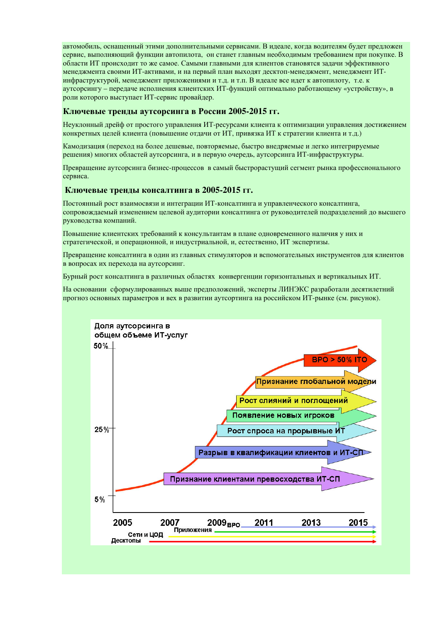автомобиль, оснащенный этими дополнительными сервисами. В идеале, когда водителям будет предложен сервис, выполняющий функции автопилота, он станет главным необходимым требованием при покупке. В области ИТ происходит то же самое. Самыми главными для клиентов становятся задачи эффективного менеджмента своими ИТ-активами, и на первый план выходят десктоп-менеджмент, менеджмент ИТинфраструктурой, менеджмент приложениями и т.д. и т.п. В идеале все идет к автопилоту, т.е. к аутсорсингу - передаче исполнения клиентских ИТ-функций оптимально работающему «устройству», в роли которого выступает ИТ-сервис провайдер.

## Ключевые тренды аутсорсинга в России 2005-2015 гг.

Неуклонный дрейф от простого управления ИТ-ресурсами клиента к оптимизации управления достижением конкретных целей клиента (повышение отдачи от ИТ, привязка ИТ к стратегии клиента и т.д.)

Камодизация (переход на более дешевые, повторяемые, быстро внедряемые и легко интегрируемые решения) многих областей аутсорсинга, и в первую очередь, аутсорсинга ИТ-инфраструктуры.

Превращение аутсорсинга бизнес-процессов в самый быстрорастущий сегмент рынка профессионального сервиса.

#### Ключевые тренды консалтинга в 2005-2015 гг.

Постоянный рост взаимосвязи и интеграции ИТ-консалтинга и управленческого консалтинга, сопровождаемый изменением целевой аудитории консалтинга от руководителей подразделений до высшего руководства компаний.

Повышение клиентских требований к консультантам в плане одновременного наличия у них и стратегической, и операционной, и индустриальной, и, естественно, ИТ экспертизы.

Превращение консалтинга в один из главных стимуляторов и вспомогательных инструментов для клиентов в вопросах их перехода на аутсорсинг.

Бурный рост консалтинга в различных областях конвергенции горизонтальных и вертикальных ИТ.

На основании сформулированных выше предположений, эксперты ЛИНЭКС разработали десятилетний прогноз основных параметров и вех в развитии аутсортинга на российском ИТ-рынке (см. рисунок).

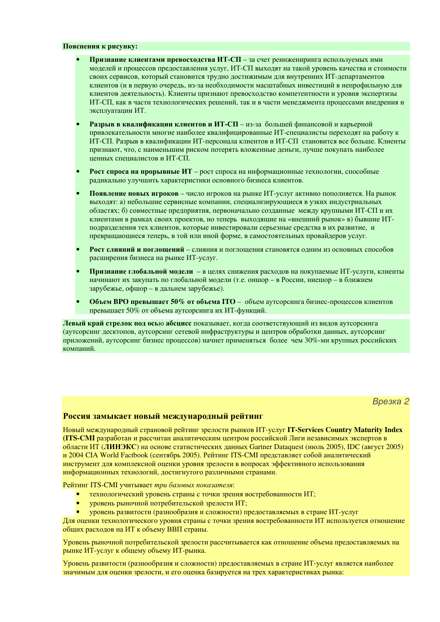#### Пояснения к рисунку:

- Признание клиентами превосходства ИТ-СП за счет реинжениринга используемых ими моделей и процессов предоставления услуг, ИТ-СП выходят на такой уровень качества и стоимости своих сервисов, который становится трудно достижимым для внутренних ИТ-департаментов клиентов (и в первую очередь, из-за необходимости масштабных инвестиций в непрофильную для клиентов деятельность). Клиенты признают превосходство компетентности и уровня экспертизы ИТ-СП, как в части технологических решений, так и в части менеджмента процессами внедрения и эксплуатации ИТ.
- Разрыв в квалификации клиентов и ИТ-СП из-за большей финансовой и карьерной привлекательности многие наиболее квалифицированные ИТ-специалисты переходят на работу к ИТ-СП. Разрыв в квалификации ИТ-персонала клиентов и ИТ-СП становится все больше. Клиенты признают, что, с наименьшим риском потерять вложенные деньги, лучше покупать наиболее ценных специалистов и ИТ-СП.
- Рост спроса на прорывные ИТ рост спроса на информационные технологии, способные радикально улучшить характеристики основного бизнеса клиентов.
- Появление новых игроков число игроков на рынке ИТ-услуг активно пополняется. На рынок выходят: а) небольшие сервисные компании, специализирующиеся в узких индустриальных областях; б) совместные предприятия, первоначально созданные между крупными ИТ-СП и их клиентами в рамках своих проектов, но теперь выходящие на «внешний рынок» в) бывшие ИТподразделения тех клиентов, которые инвестировали серьезные средства в их развитие, и превращающиеся теперь, в той или иной форме, в самостоятельных провайдеров услуг.
- Рост слияний и поглощений слияния и поглощения становятся одним из основных способов расширения бизнеса на рынке ИТ-услуг.
- Признание глобальной модели в целях снижения расходов на покупаемые ИТ-услуги, клиенты начинают их закупать по глобальной модели (т.е. оншор - в России, ниешор - в ближнем зарубежье, офшор – в дальнем зарубежье).
- Объем ВРО превышает 50% от объема ІТО объем аутсорсинга бизнес-процессов клиентов превышает 50% от объема аутсорсинга их ИТ-функций.

Левый край стрелок под осью абсцисс показывает, когда соответствующий из видов аутсорсинга (аутсорсинг лесктопов, аутсорсинг сетевой инфраструктуры и центров обработки ланных, аутсорсинг приложений, аутсорсинг бизнес процессов) начнет применяться более чем 30%-ми крупных российских компаний.

#### Врезка 2

## Россия замыкает новый международный рейтинг

Новый международный страновой рейтинг зрелости рынков ИТ-услуг IT-Services Country Maturity Index (ITS-CMI разработан и рассчитан аналитическим центром российской Лиги независимых экспертов в области ИТ (ЛИНЭКС) на основе статистических данных Gartner Dataquest (июль 2005), IDC (август 2005) и 2004 CIA World Factbook (сентябрь 2005). Рейтинг ITS-CMI представляет собой аналитический инструмент для комплексной оценки уровня зрелости в вопросах эффективного использования информационных технологий, достигнутого различными странами.

Рейтинг ITS-CMI учитывает три базовых показателя:

- технологический уровень страны с точки зрения востребованности ИТ;  $\bullet$
- уровень рыночной потребительской зрелости ИТ;
- уровень развитости (разнообразия и сложности) предоставляемых в стране ИТ-услуг

Для оценки технологического уровня страны с точки зрения востребованности ИТ используется отношение общих расходов на ИТ к объему ВВП страны.

Уровень рыночной потребительской зрелости рассчитывается как отношение объема предоставляемых на рынке ИТ-услуг к общему объему ИТ-рынка.

Уровень развитости (разнообразия и сложности) предоставляемых в стране ИТ-услуг является наиболее значимым для оценки зрелости, и его оценка базируется на трех характеристиках рынка: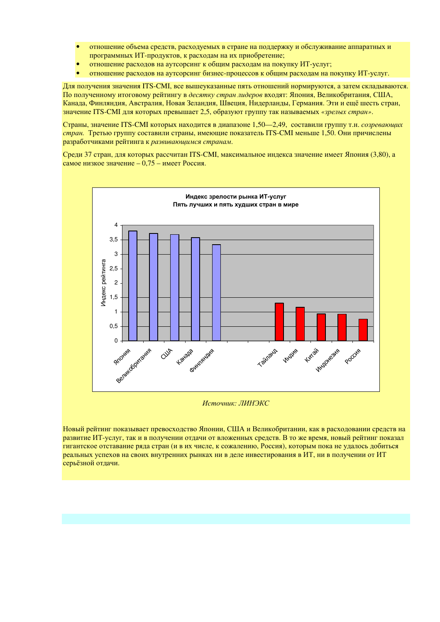- отношение объема средств, расходуемых в стране на поддержку и обслуживание аппаратных и  $\bullet$ программных ИТ-продуктов, к расходам на их приобретение;
- отношение расхолов на аутсорсинг к общим расхолам на покупку ИТ-услуг; ×
- отношение расходов на аутсорсинг бизнес-процессов к общим расходам на покупку ИТ-услуг.

Для получения значения ITS-CMI, все вышеуказанные пять отношений нормируются, а затем складываются. По полученному итоговому рейтингу в десятку стран лидеров входят: Япония, Великобритания, США, Канада, Финляндия, Австралия, Новая Зеландия, Швеция, Нидерланды, Германия. Эти и ещё шесть стран, значение ITS-CMI для которых превышает 2,5, образуют группу так называемых «зрелых стран».

Страны, значение ITS-CMI которых находится в диапазоне 1,50—2,49, составили группу т.н. *созревающих* стран. Третью группу составили страны, имеющие показатель ITS-CMI меньше 1,50. Они причислены разработчиками рейтинга к развивающимся странам.

Среди 37 стран, для которых рассчитан ITS-CMI, максимальное индекса значение имеет Япония (3,80), а самое низкое значение  $-0.75$  – имеет Россия.



Источник: ЛИНЭКС

Новый рейтинг показывает превосходство Японии, США и Великобритании, как в расходовании средств на развитие ИТ-услуг, так и в получении отдачи от вложенных средств. В то же время, новый рейтинг показал гигантское отставание ряда стран (и в их числе, к сожалению, Россия), которым пока не удалось добиться реальных успехов на своих внутренних рынках ни в деле инвестирования в ИТ, ни в получении от ИТ серьёзной отдачи.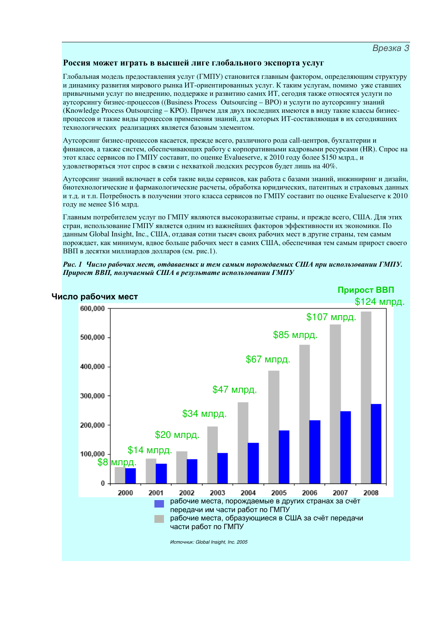## Россия может играть в высшей лиге глобального экспорта услуг

Глобальная модель предоставления услуг (ГМПУ) становится главным фактором, определяющим структуру и динамику развития мирового рынка ИТ-ориентированных услуг. К таким услугам, помимо уже ставших привычными услуг по внедрению, поддержке и развитию самих ИТ, сегодня также относятся услуги по аутсорсингу бизнес-процессов ((Business Process Outsourcing – BPO) и услуги по аутсорсингу знаний (Knowledge Process Outsourcing - KPO). Причем для двух последних имеются в виду такие классы бизнеспроцессов и такие виды процессов применения знаний, для которых ИТ-составляющая в их сегодняшних технологических реализациях является базовым элементом.

Аутсорсинг бизнес-процессов касается, прежде всего, различного рода call-центров, бухгалтерии и финансов, а также систем, обеспечивающих работу с корпоративными кадровыми ресурсами (НR). Спрос на этот класс сервисов по ГМПУ составит, по оценке Evalueserve, к 2010 году более \$150 млрд., и удовлетворяться этот спрос в связи с нехваткой людских ресурсов будет лишь на 40%.

Аутсорсинг знаний включает в себя такие виды сервисов, как работа с базами знаний, инжиниринг и дизайн, биотехнологические и фармакологические расчеты, обработка юридических, патентных и страховых данных и т.д. и т.п. Потребность в получении этого класса сервисов по ГМПУ составит по оценке Evalueserve к 2010 году не менее \$16 млрд.

Главным потребителем услуг по ГМПУ являются высокоразвитые страны, и прежде всего, США. Для этих стран, использование ГМПУ является одним из важнейших факторов эффективности их экономики. По ланным Global Insight, Inc., США, отдавая сотни тысяч своих рабочих мест в другие страны, тем самым порождает, как минимум, вдвое больше рабочих мест в самих США, обеспечивая тем самым прирост своего ВВП в десятки миллиардов долларов (см. рис.1).



#### Рис. 1 Число рабочих мест, отдаваемых и тем самым порождаемых США при использовании ГМПУ. Прирост ВВП, получаемый США в результате использовании ГМПУ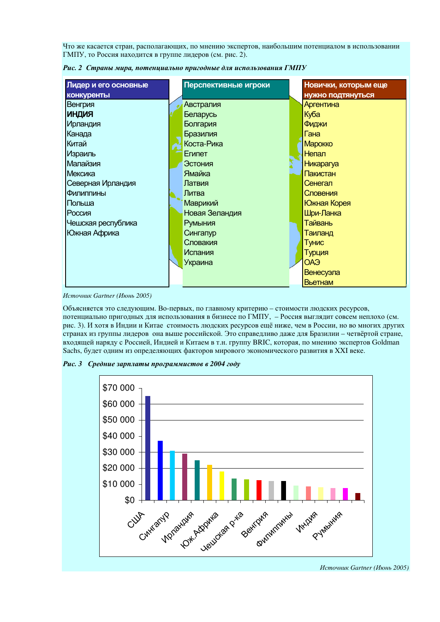Что же касается стран, располагающих, по мнению экспертов, наибольшим потенциалом в использовании ГМПУ, то Россия находится в группе лидеров (см. рис. 2).

| Лидер и его основные | Перспективные игроки | Новички, которым еще     |
|----------------------|----------------------|--------------------------|
| <b>КОНКУРЕНТЫ</b>    |                      | <b>НУЖНО ПОДТЯНУТЬСЯ</b> |
| Венгрия              | Австралия            | Аргентина                |
| <b>КИДНИ</b>         | Беларусь             | Куба                     |
| <b>Ирландия</b>      | Болгария             | Фиджи                    |
| Канада               | Бразилия             | Гана                     |
| Китай                | Коста-Рика           | <b>Марокко</b>           |
| Израиль              | Египет               | Непал                    |
| Малайзия             | Эстония              | <b>Никарагуа</b>         |
| Мексика              | Ямайка               | Пакистан                 |
| Северная Ирландия    | Латвия               | Сенегал                  |
| Филиппины            | Литва                | Словения                 |
| Польша               | Маврикий             | Южная Корея              |
| Россия               | Новая Зеландия       | Шри-Ланка                |
| Чешская республика   | Румыния              | Тайвань                  |
| Южная Африка         | Сингапур             | Таиланд                  |
|                      | Словакия             | Тунис                    |
|                      | <b>Испания</b>       | Турция                   |
|                      | Украина              | CAO                      |
|                      |                      | Венесуэла                |
|                      |                      | Вьетнам                  |

Рис. 2 Страны мира, потенциально пригодные для использования ГМПУ

Источник Gartner (Июнь 2005)

Объясняется это следующим. Во-первых, по главному критерию - стоимости людских ресурсов, потенциально пригодных для использования в бизнесе по ГМПУ, - Россия выглядит совсем неплохо (см. рис. 3). И хотя в Индии и Китае стоимость людских ресурсов ещё ниже, чем в России, но во многих других странах из группы лидеров она выше российской. Это справедливо даже для Бразилии - четвёртой стране, входящей наряду с Россией, Индией и Китаем в т.н. группу BRIC, которая, по мнению экспертов Goldman Sachs, будет одним из определяющих факторов мирового экономического развития в XXI веке.

Рис. 3 Средние зарплаты программистов в 2004 году



Источник Gartner (Июнь 2005)